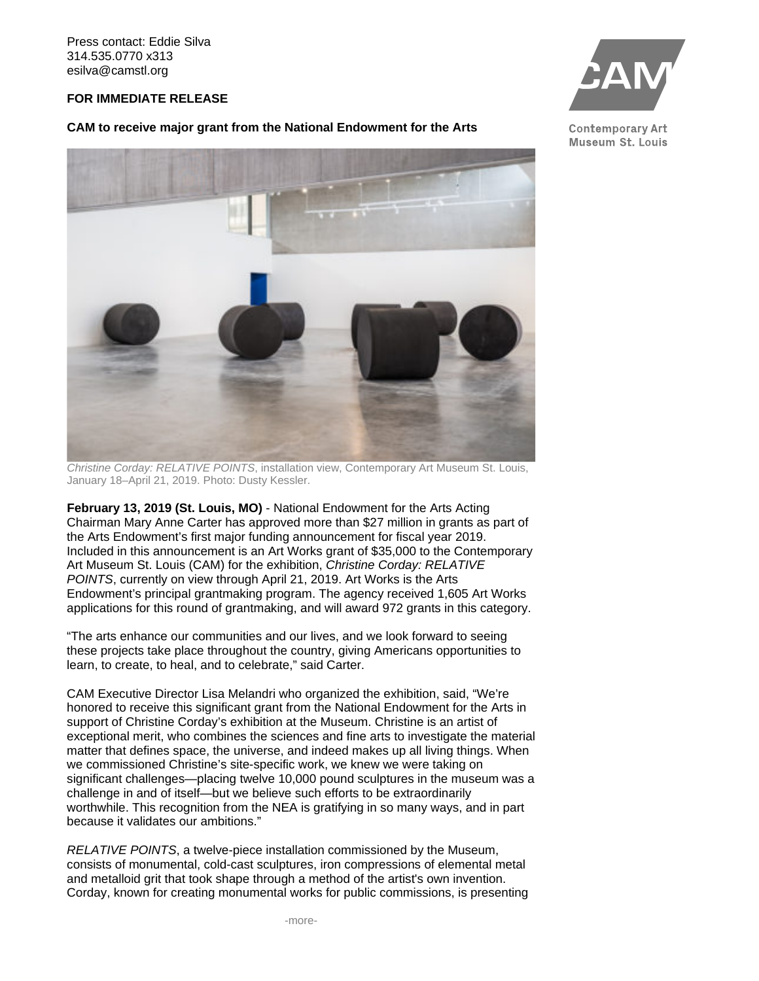Press contact: Eddie Silva 314.535.0770 x313 esilva@camstl.org

## **FOR IMMEDIATE RELEASE**

## **CAM to receive major grant from the National Endowment for the Arts**



*Christine Corday: RELATIVE POINTS*, installation view, Contemporary Art Museum St. Louis, January 18–April 21, 2019. Photo: Dusty Kessler.

**February 13, 2019 (St. Louis, MO)** - National Endowment for the Arts Acting Chairman Mary Anne Carter has approved more than \$27 million in grants as part of the Arts Endowment's first major funding announcement for fiscal year 2019. Included in this announcement is an Art Works grant of \$35,000 to the Contemporary Art Museum St. Louis (CAM) for the exhibition, *Christine Corday: RELATIVE POINTS*, currently on view through April 21, 2019. Art Works is the Arts Endowment's principal grantmaking program. The agency received 1,605 Art Works applications for this round of grantmaking, and will award 972 grants in this category.

"The arts enhance our communities and our lives, and we look forward to seeing these projects take place throughout the country, giving Americans opportunities to learn, to create, to heal, and to celebrate," said Carter.

CAM Executive Director Lisa Melandri who organized the exhibition, said, "We're honored to receive this significant grant from the National Endowment for the Arts in support of Christine Corday's exhibition at the Museum. Christine is an artist of exceptional merit, who combines the sciences and fine arts to investigate the material matter that defines space, the universe, and indeed makes up all living things. When we commissioned Christine's site-specific work, we knew we were taking on significant challenges—placing twelve 10,000 pound sculptures in the museum was a challenge in and of itself—but we believe such efforts to be extraordinarily worthwhile. This recognition from the NEA is gratifying in so many ways, and in part because it validates our ambitions."

*RELATIVE POINTS*, a twelve-piece installation commissioned by the Museum, consists of monumental, cold-cast sculptures, iron compressions of elemental metal and metalloid grit that took shape through a method of the artist's own invention. Corday, known for creating monumental works for public commissions, is presenting



**Contemporary Art** Museum St. Louis